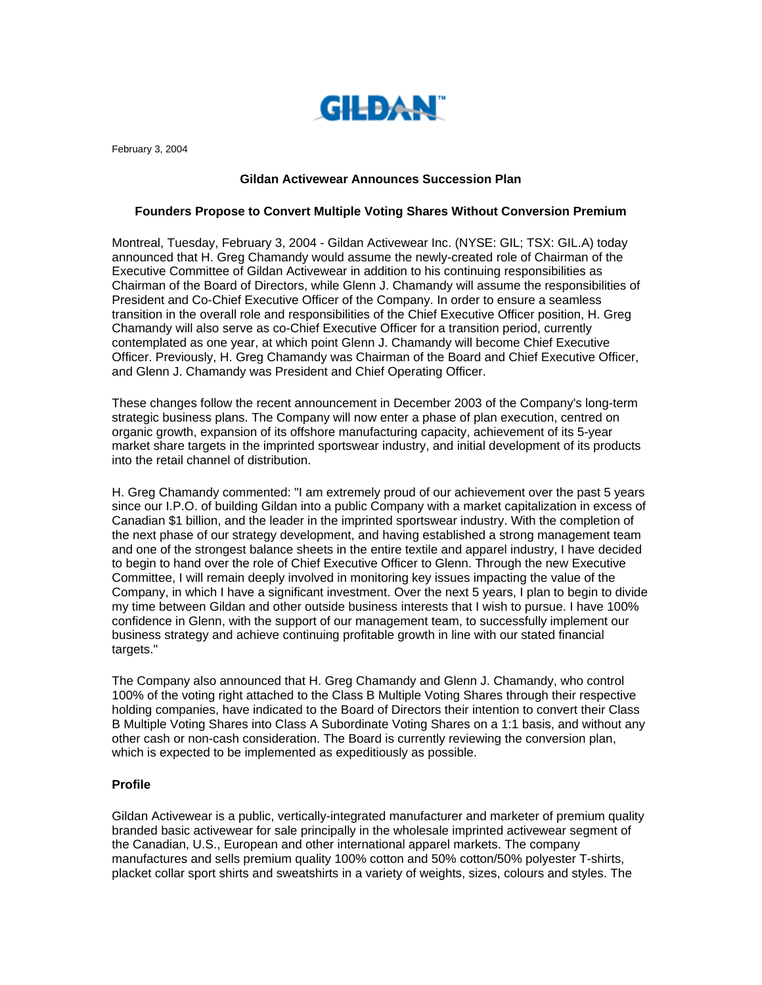

February 3, 2004

## **Gildan Activewear Announces Succession Plan**

## **Founders Propose to Convert Multiple Voting Shares Without Conversion Premium**

Montreal, Tuesday, February 3, 2004 - Gildan Activewear Inc. (NYSE: GIL; TSX: GIL.A) today announced that H. Greg Chamandy would assume the newly-created role of Chairman of the Executive Committee of Gildan Activewear in addition to his continuing responsibilities as Chairman of the Board of Directors, while Glenn J. Chamandy will assume the responsibilities of President and Co-Chief Executive Officer of the Company. In order to ensure a seamless transition in the overall role and responsibilities of the Chief Executive Officer position, H. Greg Chamandy will also serve as co-Chief Executive Officer for a transition period, currently contemplated as one year, at which point Glenn J. Chamandy will become Chief Executive Officer. Previously, H. Greg Chamandy was Chairman of the Board and Chief Executive Officer, and Glenn J. Chamandy was President and Chief Operating Officer.

These changes follow the recent announcement in December 2003 of the Company's long-term strategic business plans. The Company will now enter a phase of plan execution, centred on organic growth, expansion of its offshore manufacturing capacity, achievement of its 5-year market share targets in the imprinted sportswear industry, and initial development of its products into the retail channel of distribution.

H. Greg Chamandy commented: "I am extremely proud of our achievement over the past 5 years since our I.P.O. of building Gildan into a public Company with a market capitalization in excess of Canadian \$1 billion, and the leader in the imprinted sportswear industry. With the completion of the next phase of our strategy development, and having established a strong management team and one of the strongest balance sheets in the entire textile and apparel industry, I have decided to begin to hand over the role of Chief Executive Officer to Glenn. Through the new Executive Committee, I will remain deeply involved in monitoring key issues impacting the value of the Company, in which I have a significant investment. Over the next 5 years, I plan to begin to divide my time between Gildan and other outside business interests that I wish to pursue. I have 100% confidence in Glenn, with the support of our management team, to successfully implement our business strategy and achieve continuing profitable growth in line with our stated financial targets."

The Company also announced that H. Greg Chamandy and Glenn J. Chamandy, who control 100% of the voting right attached to the Class B Multiple Voting Shares through their respective holding companies, have indicated to the Board of Directors their intention to convert their Class B Multiple Voting Shares into Class A Subordinate Voting Shares on a 1:1 basis, and without any other cash or non-cash consideration. The Board is currently reviewing the conversion plan, which is expected to be implemented as expeditiously as possible.

## **Profile**

Gildan Activewear is a public, vertically-integrated manufacturer and marketer of premium quality branded basic activewear for sale principally in the wholesale imprinted activewear segment of the Canadian, U.S., European and other international apparel markets. The company manufactures and sells premium quality 100% cotton and 50% cotton/50% polyester T-shirts, placket collar sport shirts and sweatshirts in a variety of weights, sizes, colours and styles. The